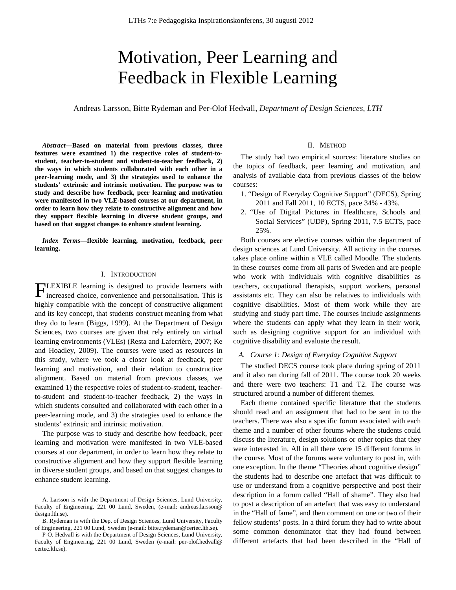# Motivation, Peer Learning and Feedback in Flexible Learning

Andreas Larsson, Bitte Rydeman and Per-Olof Hedvall, *Department of Design Sciences, LTH*

*Abstract***—Based on material from previous classes, three features were examined 1) the respective roles of student-tostudent, teacher-to-student and student-to-teacher feedback, 2) the ways in which students collaborated with each other in a peer-learning mode, and 3) the strategies used to enhance the students' extrinsic and intrinsic motivation. The purpose was to study and describe how feedback, peer learning and motivation were manifested in two VLE-based courses at our department, in order to learn how they relate to constructive alignment and how they support flexible learning in diverse student groups, and based on that suggest changes to enhance student learning.**

*Index Terms***—flexible learning, motivation, feedback, peer learning.**

# I. INTRODUCTION

LEXIBLE learning is designed to provide learners with **FLEXIBLE** learning is designed to provide learners with increased choice, convenience and personalisation. This is highly compatible with the concept of constructive alignment and its key concept, that students construct meaning from what they do to learn (Biggs, 1999). At the Department of Design Sciences, two courses are given that rely entirely on virtual learning environments (VLEs) (Resta and Laferrière, 2007; Ke and Hoadley, 2009). The courses were used as resources in this study, where we took a closer look at feedback, peer learning and motivation, and their relation to constructive alignment. Based on material from previous classes, we examined 1) the respective roles of student-to-student, teacherto-student and student-to-teacher feedback, 2) the ways in which students consulted and collaborated with each other in a peer-learning mode, and 3) the strategies used to enhance the students' extrinsic and intrinsic motivation.

The purpose was to study and describe how feedback, peer learning and motivation were manifested in two VLE-based courses at our department, in order to learn how they relate to constructive alignment and how they support flexible learning in diverse student groups, and based on that suggest changes to enhance student learning.

#### II. METHOD

The study had two empirical sources: literature studies on the topics of feedback, peer learning and motivation, and analysis of available data from previous classes of the below courses:

- 1. "Design of Everyday Cognitive Support" (DECS), Spring 2011 and Fall 2011, 10 ECTS, pace 34% - 43%.
- 2. "Use of Digital Pictures in Healthcare, Schools and Social Services" (UDP), Spring 2011, 7.5 ECTS, pace 25%.

Both courses are elective courses within the department of design sciences at Lund University. All activity in the courses takes place online within a VLE called Moodle. The students in these courses come from all parts of Sweden and are people who work with individuals with cognitive disabilities as teachers, occupational therapists, support workers, personal assistants etc. They can also be relatives to individuals with cognitive disabilities. Most of them work while they are studying and study part time. The courses include assignments where the students can apply what they learn in their work, such as designing cognitive support for an individual with cognitive disability and evaluate the result.

# *A. Course 1: Design of Everyday Cognitive Support*

The studied DECS course took place during spring of 2011 and it also ran during fall of 2011. The course took 20 weeks and there were two teachers: T1 and T2. The course was structured around a number of different themes.

Each theme contained specific literature that the students should read and an assignment that had to be sent in to the teachers. There was also a specific forum associated with each theme and a number of other forums where the students could discuss the literature, design solutions or other topics that they were interested in. All in all there were 15 different forums in the course. Most of the forums were voluntary to post in, with one exception. In the theme "Theories about cognitive design" the students had to describe one artefact that was difficult to use or understand from a cognitive perspective and post their description in a forum called "Hall of shame". They also had to post a description of an artefact that was easy to understand in the "Hall of fame", and then comment on one or two of their fellow students' posts. In a third forum they had to write about some common denominator that they had found between different artefacts that had been described in the "Hall of

A. Larsson is with the Department of Design Sciences, Lund University, Faculty of Engineering, 221 00 Lund, Sweden, (e-mail: andreas.larsson@ design.lth.se).

B. Rydeman is with the Dep. of Design Sciences, Lund University, Faculty of Engineering, 221 00 Lund, Sweden (e-mail: bitte.rydeman@certec.lth.se).

P-O. Hedvall is with the Department of Design Sciences, Lund University, Faculty of Engineering, 221 00 Lund, Sweden (e-mail: per-olof.hedvall@ certec.lth.se).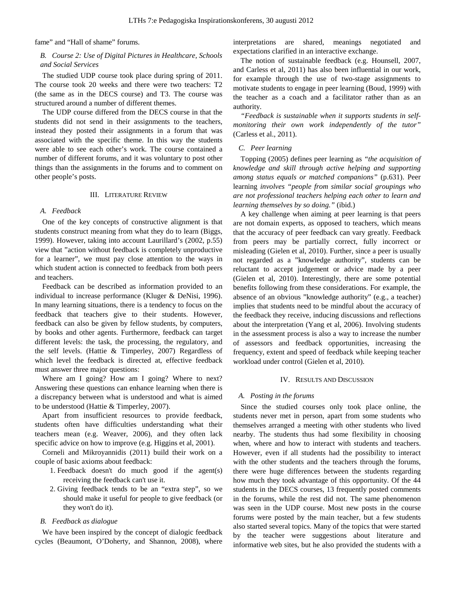fame" and "Hall of shame" forums.

# *B. Course 2: Use of Digital Pictures in Healthcare, Schools and Social Services*

The studied UDP course took place during spring of 2011. The course took 20 weeks and there were two teachers: T2 (the same as in the DECS course) and T3. The course was structured around a number of different themes.

The UDP course differed from the DECS course in that the students did not send in their assignments to the teachers, instead they posted their assignments in a forum that was associated with the specific theme. In this way the students were able to see each other's work. The course contained a number of different forums, and it was voluntary to post other things than the assignments in the forums and to comment on other people's posts.

#### III. LITERATURE REVIEW

# *A. Feedback*

One of the key concepts of constructive alignment is that students construct meaning from what they do to learn (Biggs, 1999). However, taking into account Laurillard's (2002, p.55) view that "action without feedback is completely unproductive for a learner", we must pay close attention to the ways in which student action is connected to feedback from both peers and teachers.

Feedback can be described as information provided to an individual to increase performance (Kluger & DeNisi, 1996). In many learning situations, there is a tendency to focus on the feedback that teachers give to their students. However, feedback can also be given by fellow students, by computers, by books and other agents. Furthermore, feedback can target different levels: the task, the processing, the regulatory, and the self levels. (Hattie & Timperley, 2007) Regardless of which level the feedback is directed at, effective feedback must answer three major questions:

Where am I going? How am I going? Where to next? Answering these questions can enhance learning when there is a discrepancy between what is understood and what is aimed to be understood (Hattie & Timperley, 2007).

Apart from insufficient resources to provide feedback, students often have difficulties understanding what their teachers mean (e.g. Weaver, 2006), and they often lack specific advice on how to improve (e.g. Higgins et al, 2001).

Corneli and Mikroyannidis (2011) build their work on a couple of basic axioms about feedback:

- 1. Feedback doesn't do much good if the agent(s) receiving the feedback can't use it.
- 2. Giving feedback tends to be an "extra step", so we should make it useful for people to give feedback (or they won't do it).

# *B. Feedback as dialogue*

We have been inspired by the concept of dialogic feedback cycles (Beaumont, O'Doherty, and Shannon, 2008), where interpretations are shared, meanings negotiated and expectations clarified in an interactive exchange.

The notion of sustainable feedback (e.g. Hounsell, 2007, and Carless et al, 2011) has also been influential in our work, for example through the use of two-stage assignments to motivate students to engage in peer learning (Boud, 1999) with the teacher as a coach and a facilitator rather than as an authority.

*"Feedback is sustainable when it supports students in selfmonitoring their own work independently of the tutor"* (Carless et al., 2011).

# *C. Peer learning*

Topping (2005) defines peer learning as *"the acquisition of knowledge and skill through active helping and supporting among status equals or matched companions"* (p.631). Peer learning *involves "people from similar social groupings who are not professional teachers helping each other to learn and learning themselves by so doing."* (ibid.)

A key challenge when aiming at peer learning is that peers are not domain experts, as opposed to teachers, which means that the accuracy of peer feedback can vary greatly. Feedback from peers may be partially correct, fully incorrect or misleading (Gielen et al, 2010). Further, since a peer is usually not regarded as a "knowledge authority", students can be reluctant to accept judgement or advice made by a peer (Gielen et al, 2010). Interestingly, there are some potential benefits following from these considerations. For example, the absence of an obvious "knowledge authority" (e.g., a teacher) implies that students need to be mindful about the accuracy of the feedback they receive, inducing discussions and reflections about the interpretation (Yang et al, 2006). Involving students in the assessment process is also a way to increase the number of assessors and feedback opportunities, increasing the frequency, extent and speed of feedback while keeping teacher workload under control (Gielen et al, 2010).

#### IV. RESULTS AND DISCUSSION

### *A. Posting in the forums*

Since the studied courses only took place online, the students never met in person, apart from some students who themselves arranged a meeting with other students who lived nearby. The students thus had some flexibility in choosing when, where and how to interact with students and teachers. However, even if all students had the possibility to interact with the other students and the teachers through the forums, there were huge differences between the students regarding how much they took advantage of this opportunity. Of the 44 students in the DECS courses, 13 frequently posted comments in the forums, while the rest did not. The same phenomenon was seen in the UDP course. Most new posts in the course forums were posted by the main teacher, but a few students also started several topics. Many of the topics that were started by the teacher were suggestions about literature and informative web sites, but he also provided the students with a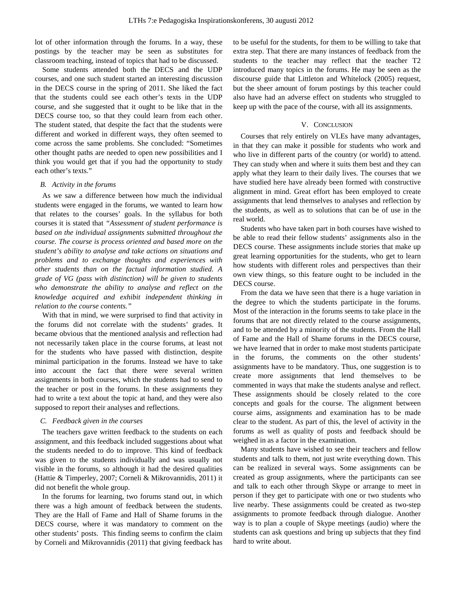lot of other information through the forums. In a way, these postings by the teacher may be seen as substitutes for classroom teaching, instead of topics that had to be discussed.

Some students attended both the DECS and the UDP courses, and one such student started an interesting discussion in the DECS course in the spring of 2011. She liked the fact that the students could see each other's texts in the UDP course, and she suggested that it ought to be like that in the DECS course too, so that they could learn from each other. The student stated, that despite the fact that the students were different and worked in different ways, they often seemed to come across the same problems. She concluded: "Sometimes other thought paths are needed to open new possibilities and I think you would get that if you had the opportunity to study each other's texts."

## *B. Activity in the forums*

As we saw a difference between how much the individual students were engaged in the forums, we wanted to learn how that relates to the courses' goals. In the syllabus for both courses it is stated that *"Assessment of student performance is based on the individual assignments submitted throughout the course. The course is process oriented and based more on the student's ability to analyse and take actions on situations and problems and to exchange thoughts and experiences with other students than on the factual information studied. A grade of VG (pass with distinction) will be given to students who demonstrate the ability to analyse and reflect on the knowledge acquired and exhibit independent thinking in relation to the course contents."*

With that in mind, we were surprised to find that activity in the forums did not correlate with the students' grades. It became obvious that the mentioned analysis and reflection had not necessarily taken place in the course forums, at least not for the students who have passed with distinction, despite minimal participation in the forums. Instead we have to take into account the fact that there were several written assignments in both courses, which the students had to send to the teacher or post in the forums. In these assignments they had to write a text about the topic at hand, and they were also supposed to report their analyses and reflections.

## *C. Feedback given in the courses*

The teachers gave written feedback to the students on each assignment, and this feedback included suggestions about what the students needed to do to improve. This kind of feedback was given to the students individually and was usually not visible in the forums, so although it had the desired qualities (Hattie & Timperley, 2007; Corneli & Mikrovannidis, 2011) it did not benefit the whole group.

In the forums for learning, two forums stand out, in which there was a high amount of feedback between the students. They are the Hall of Fame and Hall of Shame forums in the DECS course, where it was mandatory to comment on the other students' posts. This finding seems to confirm the claim by Corneli and Mikrovannidis (2011) that giving feedback has

to be useful for the students, for them to be willing to take that extra step. That there are many instances of feedback from the students to the teacher may reflect that the teacher T2 introduced many topics in the forums. He may be seen as the discourse guide that Littleton and Whitelock (2005) request, but the sheer amount of forum postings by this teacher could also have had an adverse effect on students who struggled to keep up with the pace of the course, with all its assignments.

## V. CONCLUSION

Courses that rely entirely on VLEs have many advantages, in that they can make it possible for students who work and who live in different parts of the country (or world) to attend. They can study when and where it suits them best and they can apply what they learn to their daily lives. The courses that we have studied here have already been formed with constructive alignment in mind. Great effort has been employed to create assignments that lend themselves to analyses and reflection by the students, as well as to solutions that can be of use in the real world.

Students who have taken part in both courses have wished to be able to read their fellow students' assignments also in the DECS course. These assignments include stories that make up great learning opportunities for the students, who get to learn how students with different roles and perspectives than their own view things, so this feature ought to be included in the DECS course.

From the data we have seen that there is a huge variation in the degree to which the students participate in the forums. Most of the interaction in the forums seems to take place in the forums that are not directly related to the course assignments, and to be attended by a minority of the students. From the Hall of Fame and the Hall of Shame forums in the DECS course, we have learned that in order to make most students participate in the forums, the comments on the other students' assignments have to be mandatory. Thus, one suggestion is to create more assignments that lend themselves to be commented in ways that make the students analyse and reflect. These assignments should be closely related to the core concepts and goals for the course. The alignment between course aims, assignments and examination has to be made clear to the student. As part of this, the level of activity in the forums as well as quality of posts and feedback should be weighed in as a factor in the examination.

Many students have wished to see their teachers and fellow students and talk to them, not just write everything down. This can be realized in several ways. Some assignments can be created as group assignments, where the participants can see and talk to each other through Skype or arrange to meet in person if they get to participate with one or two students who live nearby. These assignments could be created as two-step assignments to promote feedback through dialogue. Another way is to plan a couple of Skype meetings (audio) where the students can ask questions and bring up subjects that they find hard to write about.